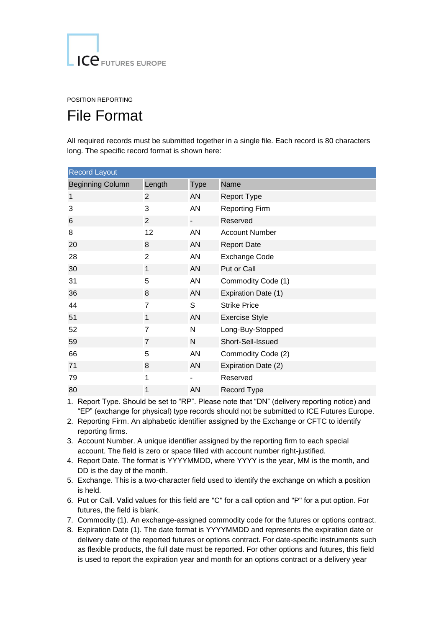## POSITION REPORTING

## File Format

All required records must be submitted together in a single file. Each record is 80 characters long. The specific record format is shown here:

| <b>Record Layout</b>    |                |             |                       |  |
|-------------------------|----------------|-------------|-----------------------|--|
| <b>Beginning Column</b> | Length         | <b>Type</b> | Name                  |  |
| 1                       | 2              | AN          | <b>Report Type</b>    |  |
| 3                       | 3              | <b>AN</b>   | <b>Reporting Firm</b> |  |
| 6                       | $\overline{2}$ |             | Reserved              |  |
| 8                       | 12             | AN          | <b>Account Number</b> |  |
| 20                      | 8              | AN          | <b>Report Date</b>    |  |
| 28                      | 2              | AN          | <b>Exchange Code</b>  |  |
| 30                      | $\mathbf{1}$   | AN          | Put or Call           |  |
| 31                      | 5              | AN          | Commodity Code (1)    |  |
| 36                      | 8              | AN          | Expiration Date (1)   |  |
| 44                      | 7              | S           | <b>Strike Price</b>   |  |
| 51                      | $\mathbf{1}$   | AN          | <b>Exercise Style</b> |  |
| 52                      | $\overline{7}$ | N           | Long-Buy-Stopped      |  |
| 59                      | $\overline{7}$ | N           | Short-Sell-Issued     |  |
| 66                      | 5              | <b>AN</b>   | Commodity Code (2)    |  |
| 71                      | 8              | AN          | Expiration Date (2)   |  |
| 79                      | 1              |             | Reserved              |  |
| 80                      | 1              | AN          | Record Type           |  |

1. Report Type. Should be set to "RP". Please note that "DN" (delivery reporting notice) and "EP" (exchange for physical) type records should not be submitted to ICE Futures Europe.

- 2. Reporting Firm. An alphabetic identifier assigned by the Exchange or CFTC to identify reporting firms.
- 3. Account Number. A unique identifier assigned by the reporting firm to each special account. The field is zero or space filled with account number right-justified.
- 4. Report Date. The format is YYYYMMDD, where YYYY is the year, MM is the month, and DD is the day of the month.
- 5. Exchange. This is a two-character field used to identify the exchange on which a position is held.
- 6. Put or Call. Valid values for this field are "C" for a call option and "P" for a put option. For futures, the field is blank.
- 7. Commodity (1). An exchange-assigned commodity code for the futures or options contract.
- 8. Expiration Date (1). The date format is YYYYMMDD and represents the expiration date or delivery date of the reported futures or options contract. For date-specific instruments such as flexible products, the full date must be reported. For other options and futures, this field is used to report the expiration year and month for an options contract or a delivery year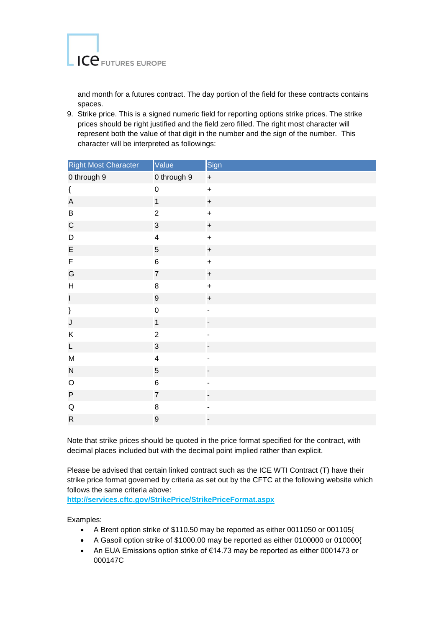

and month for a futures contract. The day portion of the field for these contracts contains spaces.

9. Strike price. This is a signed numeric field for reporting options strike prices. The strike prices should be right justified and the field zero filled. The right most character will represent both the value of that digit in the number and the sign of the number. This character will be interpreted as followings:

| Right Most Character                                                                                | Value                   | Sign      |
|-----------------------------------------------------------------------------------------------------|-------------------------|-----------|
| 0 through 9                                                                                         | 0 through 9             | $\pmb{+}$ |
| $\{$                                                                                                | $\mathbf 0$             | $\ddot{}$ |
| $\mathsf A$                                                                                         | $\overline{1}$          | $\ddot{}$ |
| $\sf B$                                                                                             | $\overline{c}$          | $\ddot{}$ |
| $\mathsf C$                                                                                         | 3                       | $\ddot{}$ |
| D                                                                                                   | $\overline{\mathbf{4}}$ | $\ddot{}$ |
| $\mathsf E$                                                                                         | 5                       | $\ddot{}$ |
| F                                                                                                   | 6                       | $\ddot{}$ |
| G                                                                                                   | $\overline{7}$          | $\ddot{}$ |
| $\boldsymbol{\mathsf{H}}$                                                                           | 8                       | $\ddot{}$ |
| $\mathsf{I}$                                                                                        | $\mathsf g$             | $\ddot{}$ |
| $\}$                                                                                                | $\mathsf 0$             |           |
| $\mathsf J$                                                                                         | $\overline{1}$          |           |
| Κ                                                                                                   | $\overline{2}$          |           |
| $\mathsf{L}% _{0}\left( \mathsf{L}_{0}\right) ^{T}=\mathsf{L}_{0}\left( \mathsf{L}_{0}\right) ^{T}$ | 3                       |           |
| ${\sf M}$                                                                                           | $\overline{\mathbf{4}}$ |           |
| ${\sf N}$                                                                                           | $\overline{5}$          | -         |
| $\mathsf O$                                                                                         | $\,6$                   |           |
| ${\sf P}$                                                                                           | $\overline{7}$          |           |
| ${\sf Q}$                                                                                           | 8                       |           |
| ${\sf R}$                                                                                           | 9                       |           |

Note that strike prices should be quoted in the price format specified for the contract, with decimal places included but with the decimal point implied rather than explicit.

Please be advised that certain linked contract such as the ICE WTI Contract (T) have their strike price format governed by criteria as set out by the CFTC at the following website which follows the same criteria above:

**<http://services.cftc.gov/StrikePrice/StrikePriceFormat.aspx>**

Examples:

- A Brent option strike of \$110.50 may be reported as either 0011050 or 001105{
- A Gasoil option strike of \$1000.00 may be reported as either 0100000 or 010000{
- An EUA Emissions option strike of €14.73 may be reported as either 0001473 or 000147C